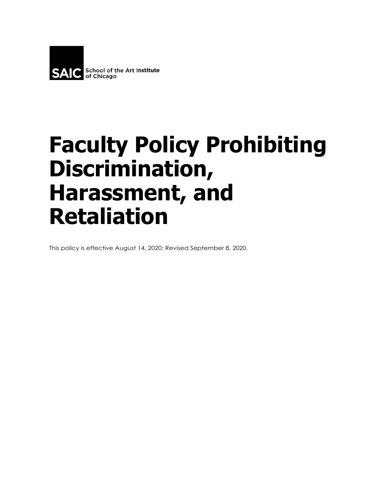

# **Faculty Policy Prohibiting Discrimination, Harassment, and Retaliation**

This policy is effective August 14, 2020; Revised September 8, 2020.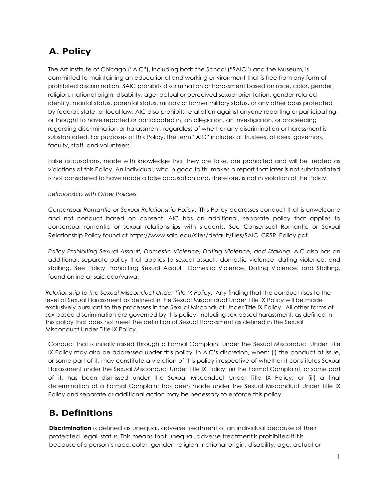# **A. Policy**

The Art Institute of Chicago ("AIC"), including both the School ("SAIC") and the Museum, is committed to maintaining an educational and working environment that is free from any form of prohibited discrimination. SAIC prohibits discrimination or harassment based on race, color, gender, religion, national origin, disability, age, actual or perceived sexual orientation, gender-related identity, marital status, parental status, military or former military status, or any other basis protected by federal, state, or local law. AIC also prohibits retaliation against anyone reporting or participating, or thought to have reported or participated in, an allegation, an investigation, or proceeding regarding discrimination or harassment, regardless of whether any discrimination or harassment is substantiated. For purposes of this Policy, the term "AIC" includes all trustees, officers, governors, faculty, staff, and volunteers.

False accusations, made with knowledge that they are false, are prohibited and will be treated as violations of this Policy. An individual, who in good faith, makes a report that later is not substantiated is not considered to have made a false accusation and, therefore, is not in violation of the Policy.

#### *Relationship with Other Policies.*

*Consensual Romantic or Sexual Relationship Policy*. This Policy addresses conduct that is unwelcome and not conduct based on consent. AIC has an additional, separate policy that applies to consensual romantic or sexual relationships with students. See Consensual Romantic or Sexual Relationship Policy found at https:/[/www.saic.edu/sites/default/files/SAIC\\_CRSR\\_Policy.pdf.](http://www.saic.edu/sites/default/files/SAIC_CRSR_Policy.pdf)

*Policy Prohibiting Sexual Assault, Domestic Violence, Dating Violence, and Stalking*. AIC also has an additional, separate policy that applies to sexual assault, domestic violence, dating violence, and stalking. See Policy Prohibiting Sexual Assault, Domestic Violence, Dating Violence, and Stalking, found online at saic.edu/vawa.

*Relationship to the Sexual Misconduct Under Title IX Policy.* Any finding that the conduct rises to the level of Sexual Harassment as defined in the Sexual Misconduct Under Title IX Policy will be made exclusively pursuant to the processes in the Sexual Misconduct Under Title IX Policy. All other forms of sex-based discrimination are governed by this policy, including sex-based harassment, as defined in this policy that does not meet the definition of Sexual Harassment as defined in the Sexual Misconduct Under Title IX Policy.

Conduct that is initially raised through a Formal Complaint under the Sexual Misconduct Under Title IX Policy may also be addressed under this policy, in AIC's discretion, when: (i) the conduct at issue, or some part of it, may constitute a violation of this policy irrespective of whether it constitutes Sexual Harassment under the Sexual Misconduct Under Title IX Policy; (ii) the Formal Complaint, or some part of it, has been dismissed under the Sexual Misconduct Under Title IX Policy; or (iii) a final determination of a Formal Complaint has been made under the Sexual Misconduct Under Title IX Policy and separate or additional action may be necessary to enforce this policy.

### **B. Definitions**

**Discrimination** is defined as unequal, adverse treatment of an individual because of their protected legal status. This means that unequal, adverse treatment is prohibited if it is becauseof a person's race, color, gender, religion, national origin, disability, age, actual or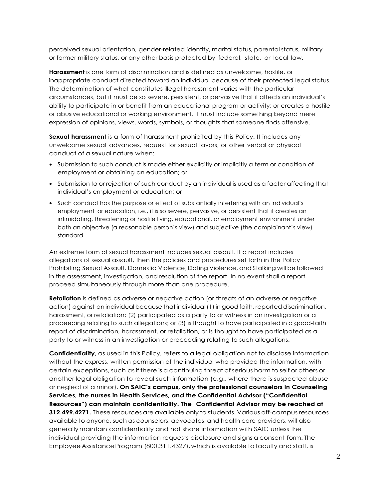perceived sexual orientation, gender-related identity, marital status, parental status, military or former military status, or any other basis protected by federal, state, or local law.

**Harassment** is one form of discrimination and is defined as unwelcome, hostile, or inappropriate conduct directed toward an individual because of their protected legal status. The determination of what constitutes illegal harassment varies with the particular circumstances, but it must be so severe, persistent, or pervasive that it affects an individual's ability to participate in or benefit from an educational program or activity; or creates a hostile or abusive educational or working environment. It must include something beyond mere expression of opinions, views, words, symbols, or thoughts that someone finds offensive.

**Sexual harassment** is a form of harassment prohibited by this Policy. It includes any unwelcome sexual advances, request for sexual favors, or other verbal or physical conduct of a sexual nature when:

- **•** Submission to such conduct is made either explicitly or implicitly a term or condition of employment or obtaining an education; or
- **•** Submission to or rejection of such conduct by an individual is used as a factor affecting that individual's employment or education; or
- **•** Such conduct has the purpose or effect of substantially interfering with an individual's employment or education, i.e., it is so severe, pervasive, or persistent that it creates an intimidating, threatening or hostile living, educational, or employment environment under both an objective (a reasonable person's view) and subjective (the complainant's view) standard.

An extreme form of sexual harassment includes sexual assault. If a report includes allegations of sexual assault, then the policies and procedures set forth in the Policy Prohibiting Sexual Assault, Domestic Violence, Dating Violence, and Stalking will be followed in the assessment, investigation, and resolution of the report. In no event shall a report proceed simultaneously through more than one procedure.

**Retaliation** is defined as adverse or negative action (or threats of an adverse or negative action) against an individual because that individual (1) in good faith, reported discrimination, harassment, or retaliation; (2) participated as a party to or witness in an investigation or a proceeding relating to such allegations; or (3) is thought to have participated in a good-faith report of discrimination, harassment, or retaliation, or is thought to have participated as a party to or witness in an investigation or proceeding relating to such allegations.

**Confidentiality**, as used in this Policy, refers to a legal obligation not to disclose information without the express, written permission of the individual who provided the information, with certain exceptions, such asif there is a continuing threat of serious harm to self or others or another legal obligation to reveal such information (e.g., where there is suspected abuse or neglect of a minor). **On SAIC's campus, only the professional counselors in Counseling Services, the nurses in Health Services, and the Confidential Advisor ("Confidential Resources") can maintain confidentiality. The Confidential Advisor may be reached at 312.499.4271.** These resources are available only to students. Various off-campus resources available to anyone, such as counselors, advocates, and health care providers, will also generallymaintain confidentiality and not share information with SAIC unless the individual providing the information requests disclosure and signs a consent form. The Employee Assistance Program (800.311.4327), which is available to faculty and staff, is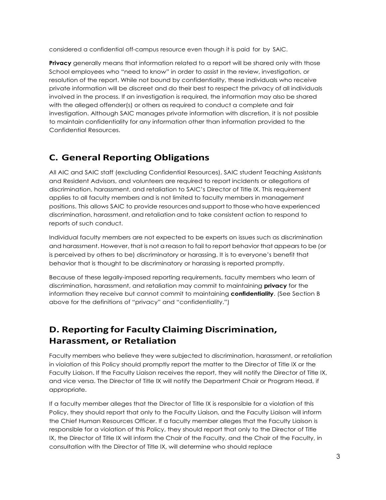considered a confidential off-campus resource even though it is paid for by SAIC.

**Privacy** generally means that information related to a report will be shared only with those School employees who "need to know" in order to assist in the review, investigation, or resolution of the report. While not bound by confidentiality, these individuals who receive private information will be discreet and do their best to respect the privacy of all individuals involved in the process. If an investigation is required, the information may also be shared with the alleged offender(s) or others as required to conduct a complete and fair investigation. Although SAIC manages private information with discretion, it is not possible to maintain confidentiality for any information other than information provided to the Confidential Resources.

# **C. General Reporting Obligations**

All AIC and SAIC staff (excluding Confidential Resources), SAIC student Teaching Assistants and Resident Advisors, and volunteers are required to report incidents or allegations of discrimination, harassment, and retaliation to SAIC's Director of Title IX. This requirement applies to all faculty members and is not limited to faculty members in management positions. This allows SAIC to provide resources and support to those who have experienced discrimination, harassment, and retaliation and to take consistent action to respond to reports of such conduct.

Individual faculty members are not expected to be experts on issues such as discrimination and harassment. However, that is not a reason to fail to report behavior that appears to be (or is perceived by others to be) discriminatory or harassing. It is to everyone's benefit that behavior that is thought to be discriminatory or harassing is reported promptly.

Because of these legally-imposed reporting requirements, faculty members who learn of discrimination, harassment, and retaliation may commit to maintaining **privacy** for the information they receive but cannot commit to maintaining **confidentiality**. (See Section B above for the definitions of "privacy" and "confidentiality.")

# **D. Reporting for Faculty Claiming Discrimination, Harassment, or Retaliation**

Faculty members who believe they were subjected to discrimination, harassment, or retaliation in violation of this Policy should promptly report the matter to the Director of Title IX or the Faculty Liaison. If the Faculty Liaison receives the report, they will notify the Director of Title IX, and vice versa. The Director of Title IX will notify the Department Chair or Program Head, if appropriate.

If a faculty member alleges that the Director of Title IX is responsible for a violation of this Policy, they should report that only to the Faculty Liaison, and the Faculty Liaison will inform the Chief Human Resources Officer. If a faculty member alleges that the Faculty Liaison is responsible for a violation of this Policy, they should report that only to the Director of Title IX, the Director of Title IX will inform the Chair of the Faculty, and the Chair of the Faculty, in consultation with the Director of Title IX, will determine who should replace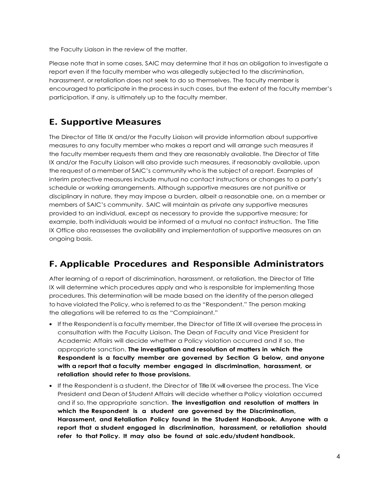the Faculty Liaison in the review of the matter.

Please note that in some cases, SAIC may determine that it has an obligation to investigate a report even if the faculty member who was allegedly subjected to the discrimination, harassment, or retaliation does not seek to do so themselves. The faculty member is encouraged to participate in the process in such cases, but the extent of the faculty member's participation, if any, is ultimately up to the faculty member.

## **E. Supportive Measures**

The Director of Title IX and/or the Faculty Liaison will provide information about supportive measures to any faculty member who makes a report and will arrange such measures if the faculty member requests them and they are reasonably available. The Director of Title IX and/or the Faculty Liaison will also provide such measures, if reasonably available, upon the request of a member of SAIC's community who is the subject of a report. Examples of interim protective measures include mutual no contact instructions or changes to a party's schedule or working arrangements. Although supportive measures are not punitive or disciplinary in nature, they may impose a burden, albeit a reasonable one, on a member or members of SAIC's community. SAIC will maintain as private any supportive measures provided to an individual, except as necessary to provide the supportive measure; for example, both individuals would be informed of a mutual no contact instruction. The Title IX Office also reassesses the availability and implementation of supportive measures on an ongoing basis.

## **F. Applicable Procedures and Responsible Administrators**

After learning of a report of discrimination, harassment, or retaliation, the Director of Title IX will determine which procedures apply and who is responsible for implementing those procedures. This determination will be made based on the identity of the person alleged to have violated the Policy, who is referred to as the "Respondent." The person making the allegations will be referred to as the "Complainant."

- If the Respondent is a faculty member, the Director of Title IX will oversee the process in consultation with the Faculty Liaison. The Dean of Faculty and Vice President for Academic Affairs will decide whether a Policy violation occurred and if so, the appropriate sanction. **The investigation and resolution of matters in which the Respondent is a faculty member are governed by Section G below, and anyone with a report that a faculty member engaged in discrimination, harassment, or retaliation should refer to those provisions.**
- **•** If the Respondent is a student, the Director of TitleIX willoversee the process. The Vice President and Dean of Student Affairs will decide whether a Policy violation occurred and if so, the appropriate sanction. **The investigation and resolution of matters in which the Respondent is a student are governed by the Discrimination, Harassment, and Retaliation Policy found in the Student Handbook. Anyone with a report that a student engaged in discrimination, harassment, or retaliation should refer to that Policy. It may also be found at saic.edu/student handbook.**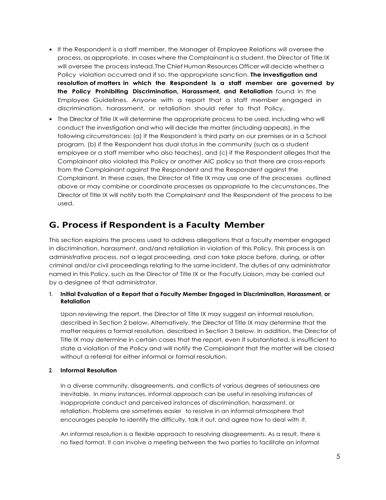- **•** If the Respondent is a staff member, the Manager of Employee Relations will oversee the process, as appropriate. In cases where the Complainant is a student, the Director of Title IX will oversee the process instead.The Chief Human Resources Officer will decide whether a Policy violation occurred and if so, the appropriate sanction. **The investigation and resolution of matters in which the Respondent is a staff member are governed by the Policy Prohibiting Discrimination, Harassment, and Retaliation** found in the Employee Guidelines. Anyone with a report that a staff member engaged in discrimination, harassment, or retaliation should refer to that Policy.
- **•** The Director of Title IX will determine the appropriate process to be used, including who will conduct the investigation and who will decide the matter (including appeals), in the following circumstances: (a) if the Respondent is third party on our premises or in a School program, (b) if the Respondent has dual status in the community (such as a student employee or a staff member who also teaches), and (c) if the Respondent alleges that the Complainant also violated this Policy or another AIC policy so that there are cross-reports from the Complainant against the Respondent and the Respondent against the Complainant. In these cases, the Director of Title IX may use one of the processes outlined above or may combine or coordinate processes as appropriate to the circumstances. The Director of Title IX will notify both the Complainant and the Respondent of the process to be used.

## **G. Process if Respondent is a Faculty Member**

This section explains the process used to address allegations that a faculty member engaged in discrimination, harassment, and/and retaliation in violation of this Policy. This process is an administrative process, not a legal proceeding, and can take place before, during, or after criminal and/or civil proceedings relating to the same incident. The duties of any administrator named in this Policy, such as the Director of Title IX or the Faculty Liaison, may be carried out by a designee of that administrator.

#### **1. Initial Evaluation of a Report that a Faculty Member Engaged in Discrimination, Harassment, or Retaliation**

Upon reviewing the report, the Director of Title IX may suggest an informal resolution, described in Section 2 below. Alternatively, the Director of Title IX may determine that the matter requires a formal resolution, described in Section 3 below. In addition, the Director of Title IX may determine in certain cases that the report, even if substantiated, is insufficient to state a violation of the Policy and will notify the Complainant that the matter will be closed without a referral for either informal or formal resolution.

#### **2. Informal Resolution**

In a diverse community, disagreements, and conflicts of various degrees of seriousness are inevitable. In many instances, informal approach can be useful in resolving instances of inappropriate conduct and perceived instances of discrimination, harassment, or retaliation. Problems are sometimes easier to resolve in an informal atmosphere that encourages people to identify the difficulty, talk it out, and agree how to deal with it.

An informal resolution is a flexible approach to resolving disagreements. As a result, there is no fixed format. It can involve a meeting between the two parties to facilitate an informal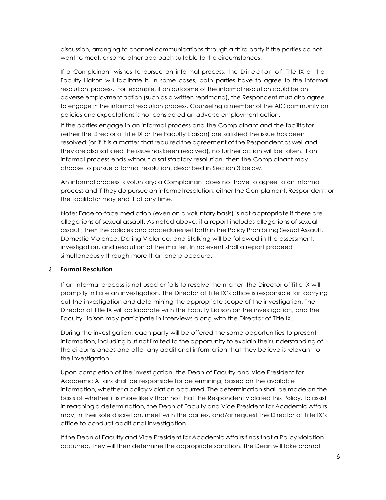discussion, arranging to channel communications through a third party if the parties do not want to meet, or some other approach suitable to the circumstances.

If a Complainant wishes to pursue an informal process, the Director of Title IX or the Faculty Liaison will facilitate it. In some cases, both parties have to agree to the informal resolution process. For example, if an outcome of the informal resolution could be an adverse employment action (such as a written reprimand), the Respondent must also agree to engage in the informal resolution process. Counseling a member of the AIC community on policies and expectations is not considered an adverse employment action.

If the parties engage in an informal process and the Complainant and the facilitator (either the Director of Title IX or the Faculty Liaison) are satisfied the issue has been resolved (or if it is a matter that required the agreement of the Respondent as well and they are also satisfied the issue has been resolved), no further action will be taken. If an informal process ends without a satisfactory resolution, then the Complainant may choose to pursue a formal resolution, described in Section 3 below.

An informal process is voluntary; a Complainant does not have to agree to an informal process and if they do pursue an informal resolution, either the Complainant, Respondent, or the facilitator may end it at any time.

Note: Face-to-face mediation (even on a voluntary basis) is not appropriate if there are allegations of sexual assault. As noted above, if a report includes allegations of sexual assault, then the policies and procedures set forth in the Policy Prohibiting Sexual Assault, Domestic Violence, Dating Violence, and Stalking will be followed in the assessment, investigation, and resolution of the matter. In no event shall a report proceed simultaneously through more than one procedure.

#### **3. Formal Resolution**

If an informal process is not used or fails to resolve the matter, the Director of Title IX will promptly initiate an investigation. The Director of Title IX's office is responsible for carrying out the investigation and determining the appropriate scope of the investigation. The Director of Title IX will collaborate with the Faculty Liaison on the investigation, and the Faculty Liaison may participate in interviews along with the Director of Title IX.

During the investigation, each party will be offered the same opportunities to present information, including but not limited to the opportunity to explain their understanding of the circumstances and offer any additional information that they believe is relevant to the investigation.

Upon completion of the investigation, the Dean of Faculty and Vice President for Academic Affairs shall be responsible for determining, based on the available information, whether a policy violation occurred. The determination shall be made on the basis of whether it is more likely than not that the Respondent violated this Policy. To assist in reaching a determination, the Dean of Faculty and Vice President for Academic Affairs may, in their sole discretion, meet with the parties, and/or request the Director of Title IX's office to conduct additional investigation.

If the Dean of Faculty and Vice President for Academic Affairs finds that a Policy violation occurred, they will then determine the appropriate sanction. The Dean will take prompt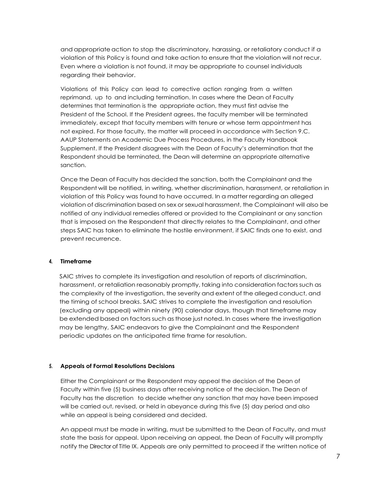and appropriate action to stop the discriminatory, harassing, or retaliatory conduct if a violation of this Policy is found and take action to ensure that the violation will not recur. Even where a violation is not found, it may be appropriate to counsel individuals regarding their behavior.

Violations of this Policy can lead to corrective action ranging from a written reprimand, up to and including termination. In cases where the Dean of Faculty determines that termination is the appropriate action, they must first advise the President of the School. If the President agrees, the faculty member will be terminated immediately, except that faculty members with tenure or whose term appointment has not expired. For those faculty, the matter will proceed in accordance with Section 9.C. AAUP Statements on Academic Due Process Procedures, in the Faculty Handbook Supplement. If the President disagrees with the Dean of Faculty's determination that the Respondent should be terminated, the Dean will determine an appropriate alternative sanction.

Once the Dean of Faculty has decided the sanction, both the Complainant and the Respondent will be notified, in writing, whether discrimination, harassment, or retaliation in violation of this Policy was found to have occurred. In a matter regarding an alleged violation of discrimination based on sex or sexual harassment, the Complainant will also be notified of any individual remedies offered or provided to the Complainant or any sanction that is imposed on the Respondent that directly relates to the Complainant, and other steps SAIC has taken to eliminate the hostile environment, if SAIC finds one to exist, and prevent recurrence.

#### **4. Timeframe**

SAIC strives to complete its investigation and resolution of reports of discrimination, harassment, or retaliation reasonably promptly, taking into consideration factors such as the complexity of the investigation, the severity and extent of the alleged conduct, and the timing of school breaks. SAIC strives to complete the investigation and resolution (excluding any appeal) within ninety (90) calendar days, though that timeframe may be extended based on factors such as those just noted. In cases where the investigation may be lengthy, SAIC endeavors to give the Complainant and the Respondent periodic updates on the anticipated time frame for resolution.

#### **5. Appeals of Formal Resolutions Decisions**

Either the Complainant or the Respondent may appeal the decision of the Dean of Faculty within five (5) business days after receiving notice of the decision. The Dean of Faculty has the discretion to decide whether any sanction that may have been imposed will be carried out, revised, or held in abeyance during this five (5) day period and also while an appeal is being considered and decided.

An appeal must be made in writing, must be submitted to the Dean of Faculty, and must state the basis for appeal. Upon receiving an appeal, the Dean of Faculty will promptly notify the Director of Title IX. Appeals are only permitted to proceed if the written notice of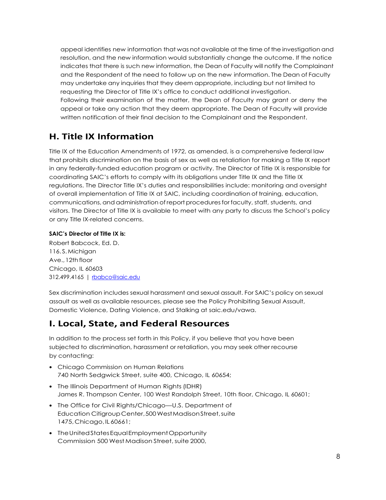appeal identifies new information that was not available at the time of the investigation and resolution, and the new information would substantially change the outcome. If the notice indicates that there is such new information, the Dean of Faculty will notify the Complainant and the Respondent of the need to follow up on the new information. The Dean of Faculty may undertake any inquiries that they deem appropriate, including but not limited to requesting the Director of Title IX's office to conduct additional investigation. Following their examination of the matter, the Dean of Faculty may grant or deny the appeal or take any action that they deem appropriate. The Dean of Faculty will provide written notification of their final decision to the Complainant and the Respondent.

## **H. Title IX Information**

Title IX of the Education Amendments of 1972, as amended, is a comprehensive federal law that prohibits discrimination on the basis of sex as well as retaliation for making a Title IX report in any federally-funded education program or activity. The Director of Title IX is responsible for coordinating SAIC's efforts to comply with its obligations under Title IX and the Title IX regulations. The Director Title IX's duties and responsibilities include: monitoring and oversight of overall implementation of Title IX at SAIC, including coordination of training, education, communications, and administration of report procedures for faculty, staff, students, and visitors. The Director of Title IX is available to meet with any party to discuss the School's policy or any Title IX-related concerns.

#### **SAIC's Director of Title IX is:**

Robert Babcock, Ed. D. 116. S.Michigan Ave., 12th floor Chicago, IL 60603 312.499.4165 | [rbabco@saic.edu](mailto:rbabco@saic.edu)

Sex discrimination includes sexual harassment and sexual assault. For SAIC's policy on sexual assault as well as available resources, please see the Policy Prohibiting Sexual Assault, Domestic Violence, Dating Violence, and Stalking at saic.edu/vawa.

## **I. Local, State, and Federal Resources**

In addition to the process set forth in this Policy, if you believe that you have been subjected to discrimination, harassment or retaliation, you may seek other recourse by contacting:

- **•** Chicago Commission on Human Relations 740 North Sedgwick Street, suite 400, Chicago, IL 60654;
- **•** The Illinois Department of Human Rights (IDHR) James R. Thompson Center, 100 West Randolph Street, 10th floor, Chicago, IL 60601;
- **•** The Office for Civil Rights/Chicago—U.S. Department of Education CitigroupCenter,500WestMadisonStreet,suite 1475,Chicago,IL 60661;
- **•** TheUnitedStatesEqualEmploymentOpportunity Commission 500 West Madison Street, suite 2000,